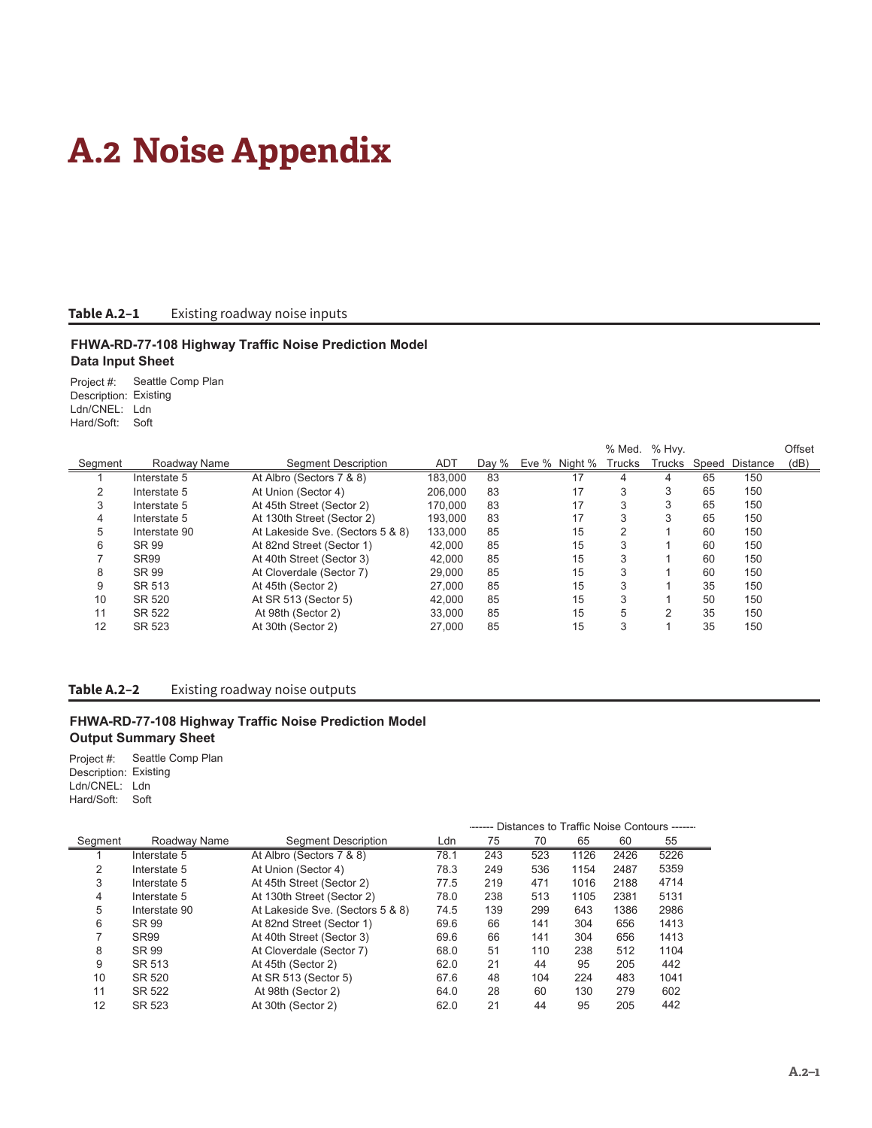# **A.2 Noise Appendix**

## **Table A.2–1** Existing roadway noise inputs

## **FHWA-RD-77-108 Highway Traffic Noise Prediction Model Data Input Sheet**

Project #: Seattle Comp Plan Description: Existing Ldn/CNEL: Ldn Hard/Soft: Soft

|         |               |                                  |            |       |               | % Med. | % Hvy.        |    |                | Offset |
|---------|---------------|----------------------------------|------------|-------|---------------|--------|---------------|----|----------------|--------|
| Segment | Roadway Name  | Segment Description              | <b>ADT</b> | Day % | Eve % Night % | Trucks | Trucks        |    | Speed Distance | (dB)   |
|         | Interstate 5  | At Albro (Sectors 7 & 8)         | 183.000    | 83    | 17            |        | 4             | 65 | 150            |        |
| 2       | Interstate 5  | At Union (Sector 4)              | 206.000    | 83    | 17            | 3      | 3             | 65 | 150            |        |
| 3       | Interstate 5  | At 45th Street (Sector 2)        | 170.000    | 83    | 17            | 3      | 3             | 65 | 150            |        |
| 4       | Interstate 5  | At 130th Street (Sector 2)       | 193.000    | 83    | 17            | 3      | 3             | 65 | 150            |        |
| 5       | Interstate 90 | At Lakeside Sve. (Sectors 5 & 8) | 133.000    | 85    | 15            | っ      |               | 60 | 150            |        |
| 6       | SR 99         | At 82nd Street (Sector 1)        | 42.000     | 85    | 15            | 3      |               | 60 | 150            |        |
|         | SR99          | At 40th Street (Sector 3)        | 42.000     | 85    | 15            | 3      |               | 60 | 150            |        |
| 8       | SR 99         | At Cloverdale (Sector 7)         | 29,000     | 85    | 15            | 3      |               | 60 | 150            |        |
| 9       | SR 513        | At 45th (Sector 2)               | 27,000     | 85    | 15            | 3      |               | 35 | 150            |        |
| 10      | SR 520        | At SR 513 (Sector 5)             | 42.000     | 85    | 15            | 3      |               | 50 | 150            |        |
| 11      | SR 522        | At 98th (Sector 2)               | 33,000     | 85    | 15            | 5      | $\mathcal{P}$ | 35 | 150            |        |
| 12      | SR 523        | At 30th (Sector 2)               | 27.000     | 85    | 15            | 3      |               | 35 | 150            |        |

## **Table A.2–2** Existing roadway noise outputs

## **FHWA-RD-77-108 Highway Traffic Noise Prediction Model Output Summary Sheet**

Project #: Seattle Comp Plan Description: Existing Ldn/CNEL: Ldn Hard/Soft: Soft

|         |                  |                                  | DividiTudo to Thanno Noisc Contuans |     |     |      |      |      |
|---------|------------------|----------------------------------|-------------------------------------|-----|-----|------|------|------|
| Segment | Roadway Name     | <b>Seament Description</b>       | Ldn                                 | 75  | 70  | 65   | 60   | 55   |
|         | Interstate 5     | At Albro (Sectors 7 & 8)         | 78.1                                | 243 | 523 | 1126 | 2426 | 5226 |
| 2       | Interstate 5     | At Union (Sector 4)              | 78.3                                | 249 | 536 | 1154 | 2487 | 5359 |
| 3       | Interstate 5     | At 45th Street (Sector 2)        | 77.5                                | 219 | 471 | 1016 | 2188 | 4714 |
| 4       | Interstate 5     | At 130th Street (Sector 2)       | 78.0                                | 238 | 513 | 1105 | 2381 | 5131 |
| 5       | Interstate 90    | At Lakeside Sve. (Sectors 5 & 8) | 74.5                                | 139 | 299 | 643  | 1386 | 2986 |
| 6       | SR 99            | At 82nd Street (Sector 1)        | 69.6                                | 66  | 141 | 304  | 656  | 1413 |
|         | SR <sub>99</sub> | At 40th Street (Sector 3)        | 69.6                                | 66  | 141 | 304  | 656  | 1413 |
| 8       | SR 99            | At Cloverdale (Sector 7)         | 68.0                                | 51  | 110 | 238  | 512  | 1104 |
| 9       | SR 513           | At 45th (Sector 2)               | 62.0                                | 21  | 44  | 95   | 205  | 442  |
| 10      | SR 520           | At SR 513 (Sector 5)             | 67.6                                | 48  | 104 | 224  | 483  | 1041 |
| 11      | SR 522           | At 98th (Sector 2)               | 64.0                                | 28  | 60  | 130  | 279  | 602  |
| 12      | SR 523           | At 30th (Sector 2)               | 62.0                                | 21  | 44  | 95   | 205  | 442  |

-------- Distances to Traffic Noise Contours --------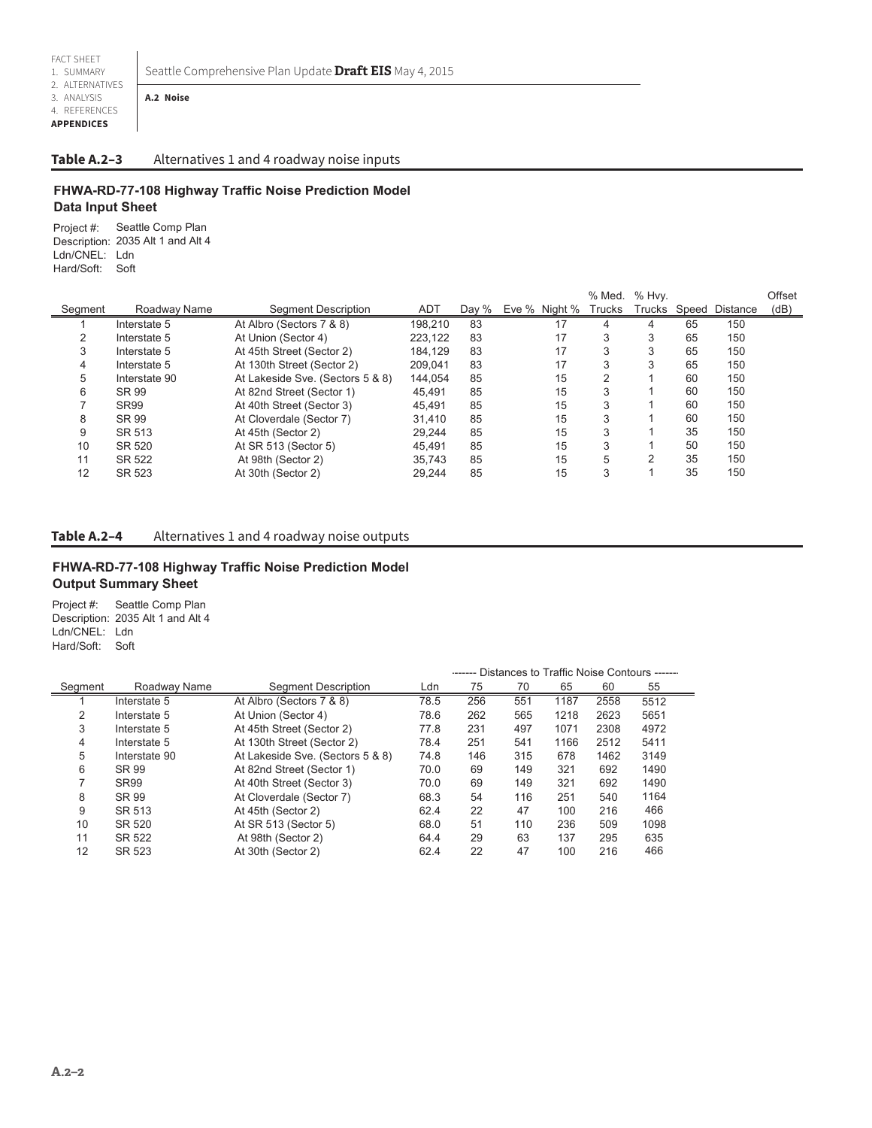Seattle Comprehensive Plan Update **Draft EIS** May 4, 2015

2. ALTERNATIVES 3. ANALYSIS 4. REFERENCES

# **APPENDICES**

#### **Table A.2–3** Alternatives 1 and 4 roadway noise inputs

## **FHWA-RD-77-108 Highway Traffic Noise Prediction Model Data Input Sheet**

Project #: Seattle Comp Plan Description: 2035 Alt 1 and Alt 4 Ldn/CNEL: Ldn Hard/Soft: Soft

**A.2 Noise**

|         |               |                                  |            |       |               | % Med.        | $%$ Hvy. |    |                | Offset |
|---------|---------------|----------------------------------|------------|-------|---------------|---------------|----------|----|----------------|--------|
| Segment | Roadway Name  | Segment Description              | <b>ADT</b> | Day % | Eve % Night % | <b>Trucks</b> | Trucks   |    | Speed Distance | (dB)   |
|         | Interstate 5  | At Albro (Sectors 7 & 8)         | 198.210    | 83    | 17            |               |          | 65 | 150            |        |
|         | Interstate 5  | At Union (Sector 4)              | 223.122    | 83    | 17            | 3             | 3        | 65 | 150            |        |
| 3       | Interstate 5  | At 45th Street (Sector 2)        | 184.129    | 83    | 17            | 3             | 3        | 65 | 150            |        |
| 4       | Interstate 5  | At 130th Street (Sector 2)       | 209.041    | 83    | 17            |               | 3        | 65 | 150            |        |
| 5       | Interstate 90 | At Lakeside Sve. (Sectors 5 & 8) | 144.054    | 85    | 15            |               |          | 60 | 150            |        |
| 6       | SR 99         | At 82nd Street (Sector 1)        | 45.491     | 85    | 15            | 3             |          | 60 | 150            |        |
|         | SR99          | At 40th Street (Sector 3)        | 45.491     | 85    | 15            | 3             |          | 60 | 150            |        |
| 8       | SR 99         | At Cloverdale (Sector 7)         | 31.410     | 85    | 15            | 3             |          | 60 | 150            |        |
| 9       | SR 513        | At 45th (Sector 2)               | 29.244     | 85    | 15            | 3             |          | 35 | 150            |        |
| 10      | SR 520        | At SR 513 (Sector 5)             | 45.491     | 85    | 15            | 3             |          | 50 | 150            |        |
| 11      | SR 522        | At 98th (Sector 2)               | 35.743     | 85    | 15            | 5             | 2        | 35 | 150            |        |
| 12      | SR 523        | At 30th (Sector 2)               | 29.244     | 85    | 15            | 3             |          | 35 | 150            |        |

**Table A.2–4** Alternatives 1 and 4 roadway noise outputs

## **FHWA-RD-77-108 Highway Traffic Noise Prediction Model Output Summary Sheet**

Project #: Seattle Comp Plan Description: 2035 Alt 1 and Alt 4 Ldn/CNEL: Ldn Hard/Soft: Soft

|         |               |                                  |      | ------ Distances to Traffic Noise Contours ------ |     |      |      |      |  |
|---------|---------------|----------------------------------|------|---------------------------------------------------|-----|------|------|------|--|
| Segment | Roadway Name  | <b>Segment Description</b>       | Ldn  | 75                                                | 70  | 65   | 60   | 55   |  |
|         | Interstate 5  | At Albro (Sectors 7 & 8)         | 78.5 | 256                                               | 551 | 1187 | 2558 | 5512 |  |
| 2       | Interstate 5  | At Union (Sector 4)              | 78.6 | 262                                               | 565 | 1218 | 2623 | 5651 |  |
| 3       | Interstate 5  | At 45th Street (Sector 2)        | 77.8 | 231                                               | 497 | 1071 | 2308 | 4972 |  |
| 4       | Interstate 5  | At 130th Street (Sector 2)       | 78.4 | 251                                               | 541 | 1166 | 2512 | 5411 |  |
| 5       | Interstate 90 | At Lakeside Sve. (Sectors 5 & 8) | 74.8 | 146                                               | 315 | 678  | 1462 | 3149 |  |
| 6       | SR 99         | At 82nd Street (Sector 1)        | 70.0 | 69                                                | 149 | 321  | 692  | 1490 |  |
|         | <b>SR99</b>   | At 40th Street (Sector 3)        | 70.0 | 69                                                | 149 | 321  | 692  | 1490 |  |
| 8       | SR 99         | At Cloverdale (Sector 7)         | 68.3 | 54                                                | 116 | 251  | 540  | 1164 |  |
| 9       | SR 513        | At 45th (Sector 2)               | 62.4 | 22                                                | 47  | 100  | 216  | 466  |  |
| 10      | SR 520        | At SR 513 (Sector 5)             | 68.0 | 51                                                | 110 | 236  | 509  | 1098 |  |
| 11      | SR 522        | At 98th (Sector 2)               | 64.4 | 29                                                | 63  | 137  | 295  | 635  |  |
| 12      | SR 523        | At 30th (Sector 2)               | 62.4 | 22                                                | 47  | 100  | 216  | 466  |  |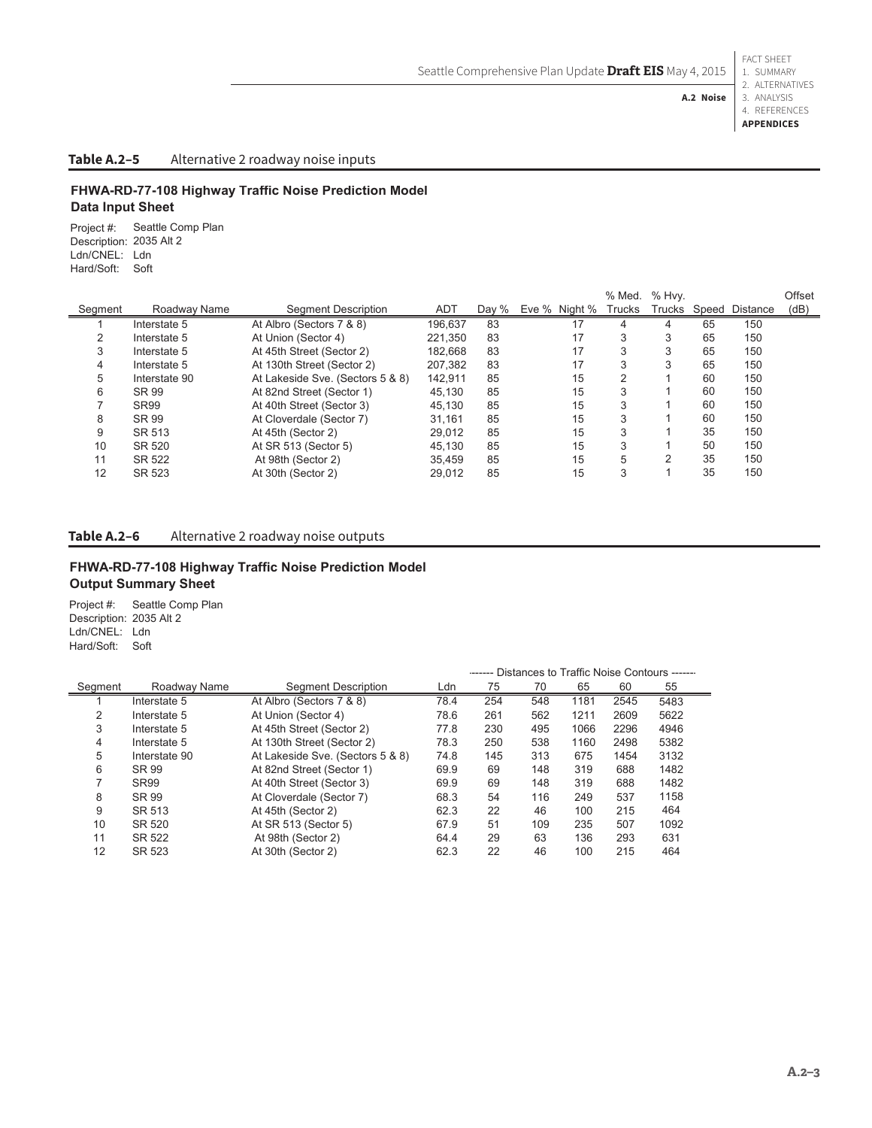4. REFERENCES **A.2 Noise**

**APPENDICES**

# **Table A.2–5** Alternative 2 roadway noise inputs

## **FHWA-RD-77-108 Highway Traffic Noise Prediction Model Data Input Sheet**

Project #: Description: Ldn/CNEL: Ldn Hard/Soft: Soft Seattle Comp Plan 2035 Alt 2

|         |               |                                  |         |       |               | % Med. | % Hvy. |    |                | Offset |
|---------|---------------|----------------------------------|---------|-------|---------------|--------|--------|----|----------------|--------|
| Segment | Roadway Name  | Segment Description              | ADT     | Day % | Eve % Night % | Trucks | Trucks |    | Speed Distance | (dB)   |
|         | Interstate 5  | At Albro (Sectors 7 & 8)         | 196.637 | 83    | 17            |        | 4      | 65 | 150            |        |
|         | Interstate 5  | At Union (Sector 4)              | 221.350 | 83    | 17            | 3      | 3      | 65 | 150            |        |
| 3       | Interstate 5  | At 45th Street (Sector 2)        | 182.668 | 83    | 17            | 3      | 3      | 65 | 150            |        |
| 4       | Interstate 5  | At 130th Street (Sector 2)       | 207.382 | 83    | 17            | 3      | 3      | 65 | 150            |        |
| 5       | Interstate 90 | At Lakeside Sve. (Sectors 5 & 8) | 142.911 | 85    | 15            | っ      |        | 60 | 150            |        |
| 6       | SR 99         | At 82nd Street (Sector 1)        | 45.130  | 85    | 15            | 3      |        | 60 | 150            |        |
|         | <b>SR99</b>   | At 40th Street (Sector 3)        | 45.130  | 85    | 15            | 3      |        | 60 | 150            |        |
| 8       | SR 99         | At Cloverdale (Sector 7)         | 31.161  | 85    | 15            | 3      |        | 60 | 150            |        |
| 9       | SR 513        | At 45th (Sector 2)               | 29.012  | 85    | 15            | 3      |        | 35 | 150            |        |
| 10      | SR 520        | At SR 513 (Sector 5)             | 45.130  | 85    | 15            | 3      |        | 50 | 150            |        |
| 11      | SR 522        | At 98th (Sector 2)               | 35.459  | 85    | 15            | 5      | 2      | 35 | 150            |        |
| 12      | SR 523        | At 30th (Sector 2)               | 29.012  | 85    | 15            | 3      |        | 35 | 150            |        |

## Table A.2-6 Alternative 2 roadway noise outputs

## **FHWA-RD-77-108 Highway Traffic Noise Prediction Model Output Summary Sheet**

Project #: Seattle Comp Plan Description: 2035 Alt 2 Ldn/CNEL: Ldn Hard/Soft: Soft

|         |                  |                                  | Distances to Traffic Noise Contours ------ |     |     |      |      |      |
|---------|------------------|----------------------------------|--------------------------------------------|-----|-----|------|------|------|
| Segment | Roadway Name     | Segment Description              | Ldn                                        | 75  | 70  | 65   | 60   | 55   |
|         | Interstate 5     | At Albro (Sectors 7 & 8)         | 78.4                                       | 254 | 548 | 1181 | 2545 | 5483 |
| 2       | Interstate 5     | At Union (Sector 4)              | 78.6                                       | 261 | 562 | 1211 | 2609 | 5622 |
| 3       | Interstate 5     | At 45th Street (Sector 2)        | 77.8                                       | 230 | 495 | 1066 | 2296 | 4946 |
| 4       | Interstate 5     | At 130th Street (Sector 2)       | 78.3                                       | 250 | 538 | 1160 | 2498 | 5382 |
| 5       | Interstate 90    | At Lakeside Sve. (Sectors 5 & 8) | 74.8                                       | 145 | 313 | 675  | 1454 | 3132 |
| 6       | SR 99            | At 82nd Street (Sector 1)        | 69.9                                       | 69  | 148 | 319  | 688  | 1482 |
|         | SR <sub>99</sub> | At 40th Street (Sector 3)        | 69.9                                       | 69  | 148 | 319  | 688  | 1482 |
| 8       | SR 99            | At Cloverdale (Sector 7)         | 68.3                                       | 54  | 116 | 249  | 537  | 1158 |
| 9       | SR 513           | At 45th (Sector 2)               | 62.3                                       | 22  | 46  | 100  | 215  | 464  |
| 10      | SR 520           | At SR 513 (Sector 5)             | 67.9                                       | 51  | 109 | 235  | 507  | 1092 |
| 11      | SR 522           | At 98th (Sector 2)               | 64.4                                       | 29  | 63  | 136  | 293  | 631  |
| 12      | SR 523           | At 30th (Sector 2)               | 62.3                                       | 22  | 46  | 100  | 215  | 464  |